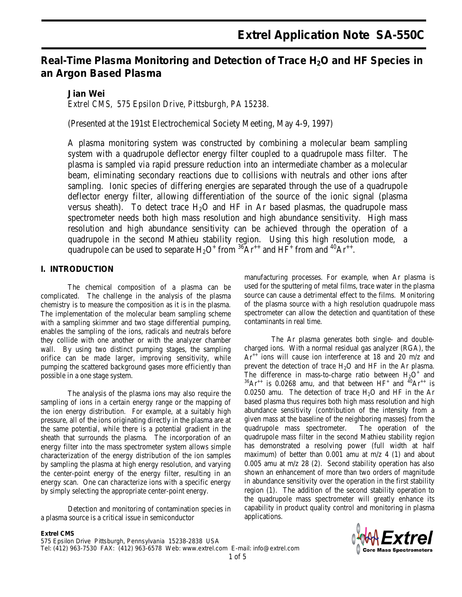# Real-Time Plasma Monitoring and Detection of Trace H<sub>2</sub>O and HF Species in **an Argon Based Plasma**

# **Jian Wei**

*Extrel CMS, 575 Epsilon Drive, Pittsburgh, PA 15238.*

(Presented at the 191st Electrochemical Society Meeting, May 4-9, 1997)

A plasma monitoring system was constructed by combining a molecular beam sampling system with a quadrupole deflector energy filter coupled to a quadrupole mass filter. The plasma is sampled via rapid pressure reduction into an intermediate chamber as a molecular beam, eliminating secondary reactions due to collisions with neutrals and other ions after sampling. Ionic species of differing energies are separated through the use of a quadrupole deflector energy filter, allowing differentiation of the source of the ionic signal (plasma versus sheath). To detect trace  $H_2O$  and HF in Ar based plasmas, the quadrupole mass spectrometer needs both high mass resolution and high abundance sensitivity. High mass resolution and high abundance sensitivity can be achieved through the operation of a quadrupole in the second Mathieu stability region. Using this high resolution mode, a quadrupole can be used to separate  $H_2O^+$  from <sup>36</sup>Ar<sup>++</sup> and HF<sup>+</sup> from and <sup>40</sup>Ar<sup>++</sup>.

# **I. INTRODUCTION**

The chemical composition of a plasma can be complicated. The challenge in the analysis of the plasma chemistry is to measure the composition as it is in the plasma. The implementation of the molecular beam sampling scheme with a sampling skimmer and two stage differential pumping, enables the sampling of the ions, radicals and neutrals before they collide with one another or with the analyzer chamber wall. By using two distinct pumping stages, the sampling orifice can be made larger, improving sensitivity, while pumping the scattered background gases more efficiently than possible in a one stage system.

The analysis of the plasma ions may also require the sampling of ions in a certain energy range or the mapping of the ion energy distribution. For example, at a suitably high pressure, all of the ions originating directly in the plasma are at the same potential, while there is a potential gradient in the sheath that surrounds the plasma. The incorporation of an energy filter into the mass spectrometer system allows simple characterization of the energy distribution of the ion samples by sampling the plasma at high energy resolution, and varying the center-point energy of the energy filter, resulting in an energy scan. One can characterize ions with a specific energy by simply selecting the appropriate center-point energy.

Detection and monitoring of contamination species in a plasma source is a critical issue in semiconductor

manufacturing processes. For example, when Ar plasma is used for the sputtering of metal films, trace water in the plasma source can cause a detrimental effect to the films. Monitoring of the plasma source with a high resolution quadrupole mass spectrometer can allow the detection and quantitation of these contaminants in real time.

The Ar plasma generates both single- and doublecharged ions. With a normal residual gas analyzer (RGA), the  $Ar^{++}$  ions will cause ion interference at 18 and 20 m/z and prevent the detection of trace  $H_2O$  and  $HF$  in the Ar plasma. The difference in mass-to-charge ratio between  $H_2O^+$  and  ${}^{36}Ar^{++}$  is 0.0268 amu, and that between HF<sup>+</sup> and  ${}^{40}Ar^{++}$  is 0.0250 amu. The detection of trace  $H_2O$  and HF in the Ar based plasma thus requires both high mass resolution and high abundance sensitivity (contribution of the intensity from a given mass at the baseline of the neighboring masses) from the quadrupole mass spectrometer. The operation of the quadrupole mass filter in the second Mathieu stability region has demonstrated a resolving power (full width at half maximum) of better than  $0.001$  amu at m/z 4 (1) and about 0.005 amu at m/z 28 (2). Second stability operation has also shown an enhancement of more than two orders of magnitude in abundance sensitivity over the operation in the first stability region (1). The addition of the second stability operation to the quadrupole mass spectrometer will greatly enhance its capability in product quality control and monitoring in plasma applications.



#### **Extrel CMS**

575 Epsilon Drive Pittsburgh, Pennsylvania 15238-2838 USA Tel: (412) 963-7530 FAX: (412) 963-6578 Web: www.extrel.com E-mail: info@extrel.com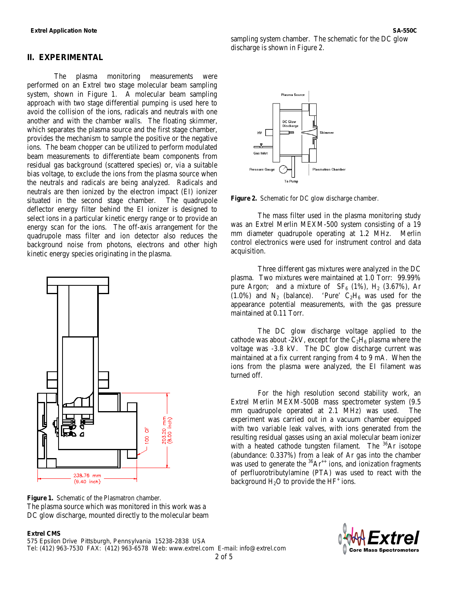#### **II. EXPERIMENTAL**

The plasma monitoring measurements were performed on an Extrel two stage molecular beam sampling system, shown in Figure 1. A molecular beam sampling approach with two stage differential pumping is used here to avoid the collision of the ions, radicals and neutrals with one another and with the chamber walls. The floating skimmer, which separates the plasma source and the first stage chamber, provides the mechanism to sample the positive or the negative ions. The beam chopper can be utilized to perform modulated beam measurements to differentiate beam components from residual gas background (scattered species) or, via a suitable bias voltage, to exclude the ions from the plasma source when the neutrals and radicals are being analyzed. Radicals and neutrals are then ionized by the electron impact (EI) ionizer situated in the second stage chamber. The quadrupole deflector energy filter behind the EI ionizer is designed to select ions in a particular kinetic energy range or to provide an energy scan for the ions. The off-axis arrangement for the quadrupole mass filter and ion detector also reduces the background noise from photons, electrons and other high kinetic energy species originating in the plasma.



**Figure 1.** Schematic of the Plasmatron chamber. The plasma source which was monitored in this work was a DC glow discharge, mounted directly to the molecular beam

#### **Extrel CMS**

575 Epsilon Drive Pittsburgh, Pennsylvania 15238-2838 USA Tel: (412) 963-7530 FAX: (412) 963-6578 Web: www.extrel.com E-mail: info@extrel.com

2 of 5



sampling system chamber. The schematic for the DC glow discharge is shown in Figure 2.



**Figure 2.** Schematic for DC glow discharge chamber.

The mass filter used in the plasma monitoring study was an Extrel Merlin MEXM-500 system consisting of a 19 mm diameter quadrupole operating at 1.2 MHz. Merlin control electronics were used for instrument control and data acquisition.

Three different gas mixtures were analyzed in the DC plasma. Two mixtures were maintained at 1.0 Torr: 99.99% pure Argon; and a mixture of  $SF_6$  (1%),  $H_2$  (3.67%), Ar  $(1.0\%)$  and N<sub>2</sub> (balance). 'Pure' C<sub>2</sub>H<sub>6</sub> was used for the appearance potential measurements, with the gas pressure maintained at 0.11 Torr.

The DC glow discharge voltage applied to the cathode was about -2kV, except for the  $C_2H_6$  plasma where the voltage was -3.8 kV. The DC glow discharge current was maintained at a fix current ranging from 4 to 9 mA. When the ions from the plasma were analyzed, the EI filament was turned off.

For the high resolution second stability work, an Extrel Merlin MEXM-500B mass spectrometer system (9.5 mm quadrupole operated at 2.1 MHz) was used. The experiment was carried out in a vacuum chamber equipped with two variable leak valves, with ions generated from the resulting residual gasses using an axial molecular beam ionizer with a heated cathode tungsten filament. The  $36Ar$  isotope (abundance: 0.337%) from a leak of Ar gas into the chamber was used to generate the  ${}^{36}Ar^{++}$  ions, and ionization fragments of perfluorotributylamine (PTA) was used to react with the background  $H_2O$  to provide the  $HF^+$  ions.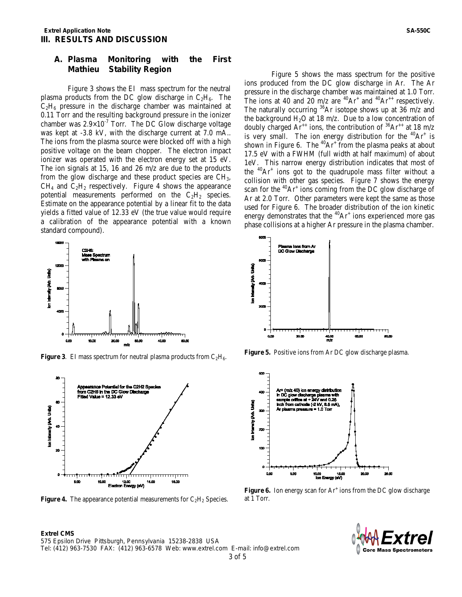### **A. Plasma Monitoring with the First Mathieu Stability Region**

Figure 3 shows the EI mass spectrum for the neutral plasma products from the DC glow discharge in  $C_2H_6$ . The  $C_2H_6$  pressure in the discharge chamber was maintained at 0.11 Torr and the resulting background pressure in the ionizer chamber was  $2.9 \times 10^{-7}$  Torr. The DC Glow discharge voltage was kept at -3.8 kV, with the discharge current at 7.0 mA.. The ions from the plasma source were blocked off with a high positive voltage on the beam chopper. The electron impact ionizer was operated with the electron energy set at 15 eV. The ion signals at 15, 16 and 26 m/z are due to the products from the glow discharge and these product species are CH3,  $CH<sub>4</sub>$  and  $C<sub>2</sub>H<sub>2</sub>$  respectively. Figure 4 shows the appearance potential measurements performed on the  $C_2H_2$  species. Estimate on the appearance potential by a linear fit to the data yields a fitted value of 12.33 eV (the true value would require a calibration of the appearance potential with a known standard compound).



**Figure 3.** EI mass spectrum for neutral plasma products from  $C_2H_6$ .



**Figure 4.** The appearance potential measurements for  $C_2H_2$  Species.

**Extrel CMS** 

Figure 5 shows the mass spectrum for the positive ions produced from the DC glow discharge in Ar. The Ar pressure in the discharge chamber was maintained at 1.0 Torr. The ions at 40 and 20 m/z are  ${}^{40}Ar^+$  and  ${}^{40}Ar^{++}$  respectively. The naturally occurring  ${}^{36}Ar$  isotope shows up at 36 m/z and the background  $H_2O$  at 18 m/z. Due to a low concentration of doubly charged Ar<sup>++</sup> ions, the contribution of  ${}^{36}Ar^{+}$  at 18 m/z is very small. The ion energy distribution for the  $^{40}Ar^{+}$  is shown in Figure 6. The  $^{40}Ar^+$  from the plasma peaks at about 17.5 eV with a FWHM (full width at half maximum) of about 1eV. This narrow energy distribution indicates that most of the  $^{40}Ar^+$  ions got to the quadrupole mass filter without a collision with other gas species. Figure 7 shows the energy scan for the  ${}^{40}Ar^+$  ions coming from the DC glow discharge of Ar at 2.0 Torr. Other parameters were kept the same as those used for Figure 6. The broader distribution of the ion kinetic energy demonstrates that the  ${}^{40}Ar^+$  ions experienced more gas phase collisions at a higher Ar pressure in the plasma chamber.



**Figure 5.** Positive ions from Ar DC glow discharge plasma.



**Figure 6.** Ion energy scan for Ar<sup>+</sup> ions from the DC glow discharge at 1 Torr.



575 Epsilon Drive Pittsburgh, Pennsylvania 15238-2838 USA Tel: (412) 963-7530 FAX: (412) 963-6578 Web: www.extrel.com E-mail: info@extrel.com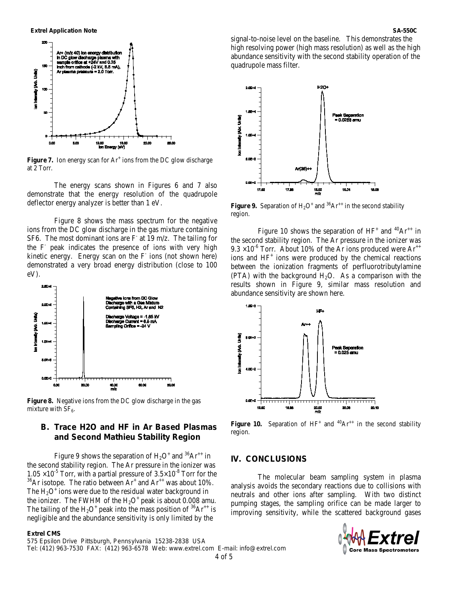

**Figure 7.** Ion energy scan for  $Ar^+$  ions from the DC glow discharge at 2 Torr.

The energy scans shown in Figures 6 and 7 also demonstrate that the energy resolution of the quadrupole deflector energy analyzer is better than 1 eV.

Figure 8 shows the mass spectrum for the negative ions from the DC glow discharge in the gas mixture containing SF6. The most dominant ions are  $F$  at 19 m/z. The tailing for the F- peak indicates the presence of ions with very high kinetic energy. Energy scan on the  $F$  ions (not shown here) demonstrated a very broad energy distribution (close to 100 eV).



**Figure 8.** Negative ions from the DC glow discharge in the gas mixture with  $SF<sub>6</sub>$ .

# **B. Trace H2O and HF in Ar Based Plasmas and Second Mathieu Stability Region**

Figure 9 shows the separation of  $H_2O^+$  and <sup>36</sup>Ar<sup>++</sup> in the second stability region. The Ar pressure in the ionizer was  $1.05 \times 10^{-5}$  Torr, with a partial pressure of  $3.5 \times 10^{-8}$  Torr for the  $10^{36}$ Ar isotope. The ratio between Ar<sup>+</sup> and Ar<sup>++</sup> was about 10%. The  $H<sub>2</sub>O<sup>+</sup>$  ions were due to the residual water background in the ionizer. The FWHM of the  $H_2O^+$  peak is about 0.008 amu. The tailing of the  $H_2O^+$  peak into the mass position of <sup>36</sup>Ar<sup>++</sup> is negligible and the abundance sensitivity is only limited by the

#### **Extrel CMS**

575 Epsilon Drive Pittsburgh, Pennsylvania 15238-2838 USA Tel: (412) 963-7530 FAX: (412) 963-6578 Web: www.extrel.com E-mail: info@extrel.com 4 of 5

signal-to-noise level on the baseline. This demonstrates the high resolving power (high mass resolution) as well as the high abundance sensitivity with the second stability operation of the quadrupole mass filter.



**Figure 9.** Separation of  $H_2O^+$  and <sup>36</sup>Ar<sup>++</sup> in the second stability region.

Figure 10 shows the separation of  $HF^+$  and  ${}^{40}Ar^{++}$  in the second stability region. The Ar pressure in the ionizer was  $9.3 \times 10^{-6}$  Torr. About 10% of the Ar ions produced were Ar<sup>++</sup> ions and  $HF<sup>+</sup>$  ions were produced by the chemical reactions between the ionization fragments of perfluorotributylamine (PTA) with the background  $H_2O$ . As a comparison with the results shown in Figure 9, similar mass resolution and abundance sensitivity are shown here.



**Figure 10.** Separation of  $HF^+$  and  ${}^{40}Ar^{++}$  in the second stability region.

### **IV. CONCLUSIONS**

The molecular beam sampling system in plasma analysis avoids the secondary reactions due to collisions with neutrals and other ions after sampling. With two distinct pumping stages, the sampling orifice can be made larger to improving sensitivity, while the scattered background gases